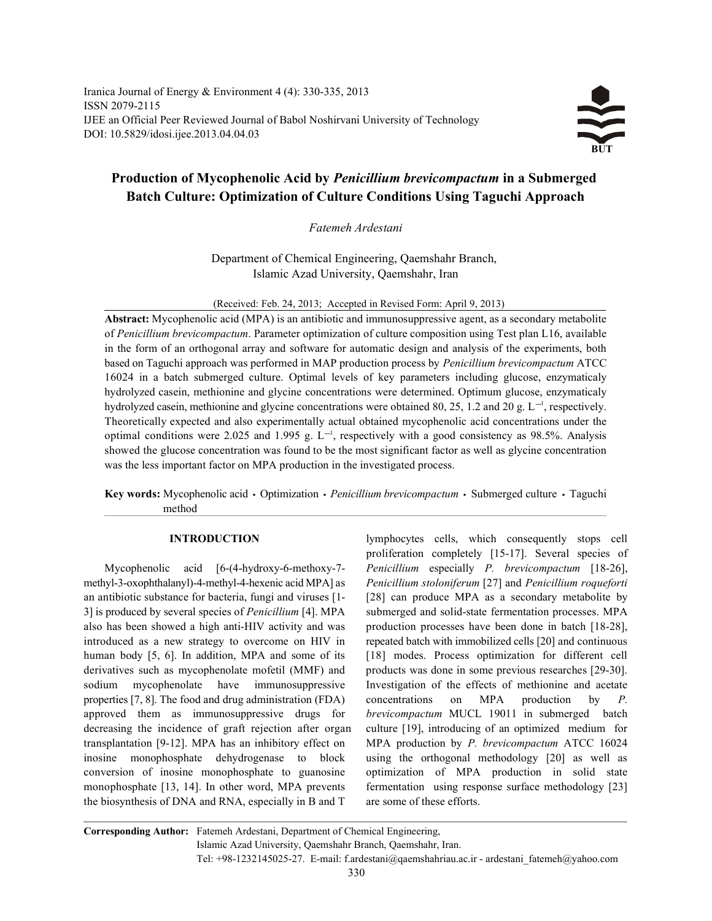Iranica Journal of Energy & Environment 4 (4): 330-335, 2013 ISSN 2079-2115 IJEE an Official Peer Reviewed Journal of Babol Noshirvani University of Technology DOI: 10.5829/idosi.ijee.2013.04.04.03



# **Production of Mycophenolic Acid by** *Penicillium brevicompactum* **in a Submerged Batch Culture: Optimization of Culture Conditions Using Taguchi Approach**

*Fatemeh Ardestani*

Department of Chemical Engineering, Qaemshahr Branch, Islamic Azad University, Qaemshahr, Iran

(Received: Feb. 24, 2013; Accepted in Revised Form: April 9, 2013)

**Abstract:** Mycophenolic acid (MPA) is an antibiotic and immunosuppressive agent, as a secondary metabolite of *Penicillium brevicompactum*. Parameter optimization of culture composition using Test plan L16, available in the form of an orthogonal array and software for automatic design and analysis of the experiments, both based on Taguchi approach was performed in MAP production process by *Penicillium brevicompactum* ATCC 16024 in a batch submerged culture. Optimal levels of key parameters including glucose, enzymaticaly hydrolyzed casein, methionine and glycine concentrations were determined. Optimum glucose, enzymaticaly hydrolyzed casein, methionine and glycine concentrations were obtained 80, 25, 1.2 and 20 g.  $L^{-1}$ , respectively. Theoretically expected and also experimentally actual obtained mycophenolic acid concentrations under the optimal conditions were 2.025 and 1.995 g.  $L^{-1}$ , respectively with a good consistency as 98.5%. Analysis showed the glucose concentration was found to be the most significant factor as well as glycine concentration was the less important factor on MPA production in the investigated process.

Key words: Mycophenolic acid • Optimization • *Penicillium brevicompactum* • Submerged culture • Taguchi method

methyl-3-oxophthalanyl)-4-methyl-4-hexenic acid MPA] as *Penicillium stoloniferum* [27] and *Penicillium roqueforti* an antibiotic substance for bacteria, fungi and viruses [1- [28] can produce MPA as a secondary metabolite by 3] is produced by several species of *Penicillium* [4]. MPA submerged and solid-state fermentation processes. MPA also has been showed a high anti-HIV activity and was production processes have been done in batch [18-28], introduced as a new strategy to overcome on HIV in repeated batch with immobilized cells [20] and continuous human body [5, 6]. In addition, MPA and some of its [18] modes. Process optimization for different cell derivatives such as mycophenolate mofetil (MMF) and products was done in some previous researches [29-30]. sodium mycophenolate have immunosuppressive Investigation of the effects of methionine and acetate properties [7, 8]. The food and drug administration (FDA) concentrations on MPA production by *P.* approved them as immunosuppressive drugs for *brevicompactum* MUCL 19011 in submerged batch decreasing the incidence of graft rejection after organ culture [19], introducing of an optimized medium for transplantation [9-12]. MPA has an inhibitory effect on MPA production by *P. brevicompactum* ATCC 16024 inosine monophosphate dehydrogenase to block using the orthogonal methodology [20] as well as conversion of inosine monophosphate to guanosine optimization of MPA production in solid state monophosphate [13, 14]. In other word, MPA prevents fermentation using response surface methodology [23] the biosynthesis of DNA and RNA, especially in B and T are some of these efforts.

**INTRODUCTION** lymphocytes cells, which consequently stops cell Mycophenolic acid [6-(4-hydroxy-6-methoxy-7- *Penicillium* especially *P. brevicompactum* [18-26], proliferation completely [15-17]. Several species of

**Corresponding Author:** Fatemeh Ardestani, Department of Chemical Engineering, Islamic Azad University, Qaemshahr Branch, Qaemshahr, Iran. Tel: +98-1232145025-27. E-mail: f.ardestani@qaemshahriau.ac.ir - ardestani\_fatemeh@yahoo.com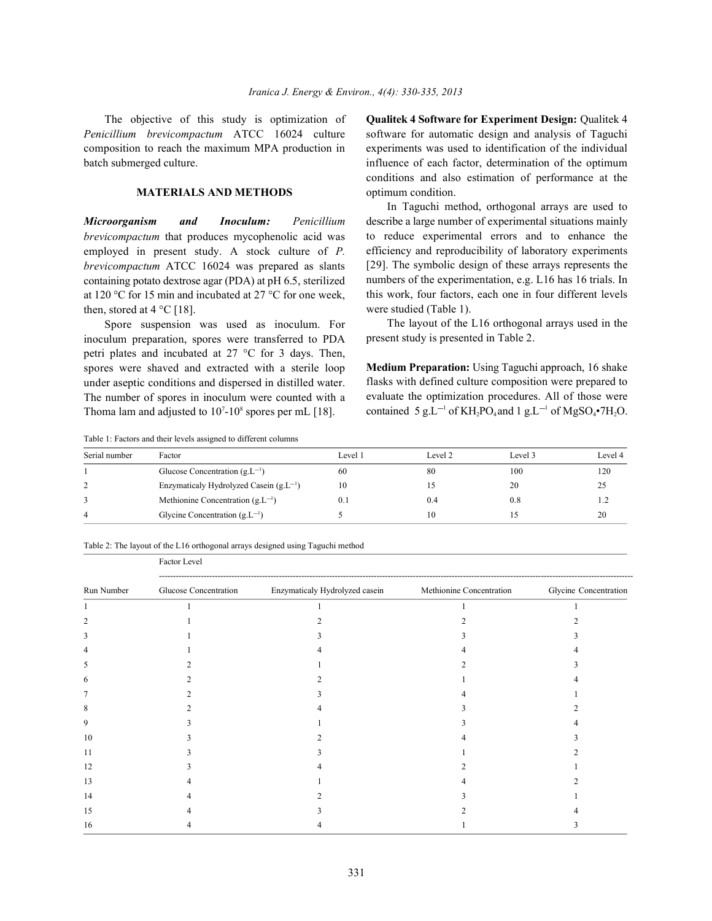*Penicillium brevicompactum* ATCC 16024 culture software for automatic design and analysis of Taguchi composition to reach the maximum MPA production in experiments was used to identification of the individual batch submerged culture. influence of each factor, determination of the optimum

### **MATERIALS AND METHODS** optimum condition.

*brevicompactum* that produces mycophenolic acid was employed in present study. A stock culture of *P. brevicompactum* ATCC 16024 was prepared as slants containing potato dextrose agar (PDA) at pH 6.5, sterilized at 120 °C for 15 min and incubated at 27 °C for one week, then, stored at  $4^{\circ}$ C [18].

Spore suspension was used as inoculum. For inoculum preparation, spores were transferred to PDA petri plates and incubated at 27 °C for 3 days. Then, spores were shaved and extracted with a sterile loop under aseptic conditions and dispersed in distilled water. The number of spores in inoculum were counted with a Thoma lam and adjusted to  $10^7$ - $10^8$  spores per mL [18].

The objective of this study is optimization of **Qualitek 4 Software for Experiment Design:** Qualitek 4 conditions and also estimation of performance at the

*Microorganism and Inoculum: Penicillium* describe a large number of experimental situations mainly In Taguchi method, orthogonal arrays are used to to reduce experimental errors and to enhance the efficiency and reproducibility of laboratory experiments [29]. The symbolic design of these arrays represents the numbers of the experimentation, e.g. L16 has 16 trials. In this work, four factors, each one in four different levels were studied (Table 1).

> The layout of the L16 orthogonal arrays used in the present study is presented in Table 2.

> **Medium Preparation:** Using Taguchi approach, 16 shake flasks with defined culture composition were prepared to evaluate the optimization procedures. All of those were contained 5  $g.L^{-1}$  of KH<sub>2</sub>PO<sub>4</sub> and 1  $g.L^{-1}$  of MgSO<sub>4</sub>•7H<sub>2</sub>O.

Table 1: Factors and their levels assigned to different columns

Factor Level

| Serial number | Factor                                      | Level 1 | Level 2 | Level 3 | Level 4 |
|---------------|---------------------------------------------|---------|---------|---------|---------|
|               | Glucose Concentration $(g.L^{-1})$          | 60      | 80      | 100     | 120     |
|               | Enzymaticaly Hydrolyzed Casein $(g.L^{-1})$ | 10      |         | 20      |         |
|               | Methionine Concentration $(g.L^{-1})$       |         | 0.4     | 0.8     |         |
| 4             | Glycine Concentration $(g.L^{-1})$          |         | 10      |         | 20      |

### Table 2: The layout of the L16 orthogonal arrays designed using Taguchi method

| Run Number | Glucose Concentration | Enzymaticaly Hydrolyzed casein | Methionine Concentration | Glycine Concentration |  |
|------------|-----------------------|--------------------------------|--------------------------|-----------------------|--|
|            |                       |                                |                          |                       |  |
|            |                       |                                |                          |                       |  |
|            |                       |                                |                          |                       |  |
|            |                       |                                |                          |                       |  |
|            |                       |                                |                          |                       |  |
|            |                       |                                |                          |                       |  |
|            |                       |                                |                          |                       |  |
|            |                       |                                |                          |                       |  |
| 9          |                       |                                |                          |                       |  |
| 10         |                       |                                |                          |                       |  |
|            |                       |                                |                          |                       |  |
| 12         |                       |                                |                          |                       |  |
| 13         |                       |                                |                          |                       |  |
| 14         |                       |                                |                          |                       |  |
| 15         |                       |                                |                          |                       |  |
| 16         |                       |                                |                          |                       |  |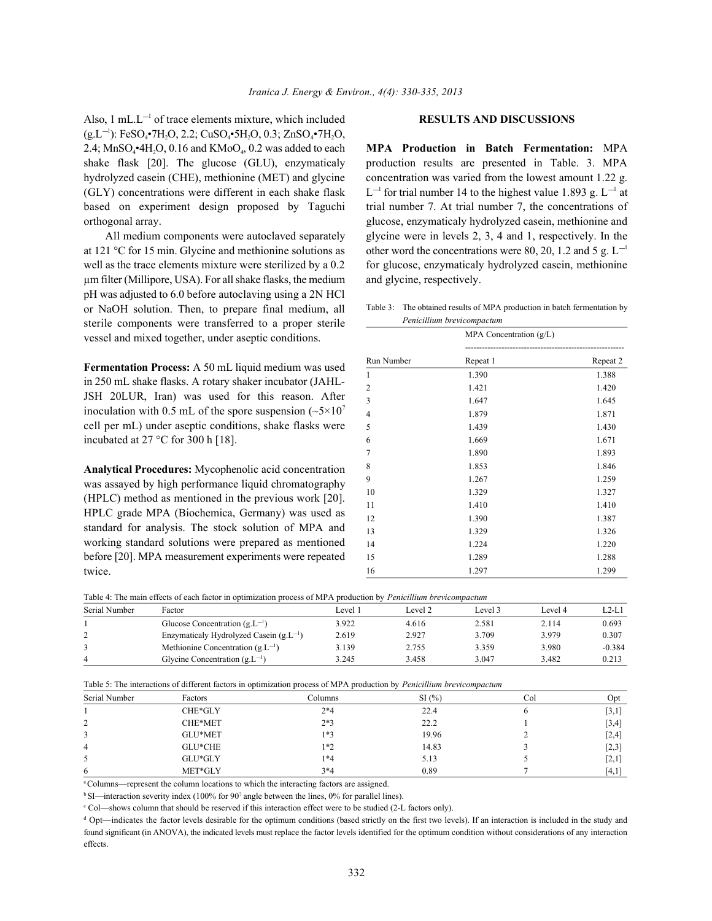Also,  $1 \text{ mL}$ ,  $L^{-1}$  of trace elements mixture, which included **RESULTS AND DISCUSSIONS**  $(g.L^{-1})$ : FeSO<sub>4</sub>•7H<sub>2</sub>O, 2.2; CuSO<sub>4</sub>•5H<sub>2</sub>O, 0.3; ZnSO<sub>4</sub>•7H<sub>2</sub>O, 2.4; MnSO<sub>4</sub><sup>•</sup>4H<sub>2</sub>O, 0.16 and KMoO<sub>4</sub>, 0.2 was added to each **MPA Production in Batch Fermentation:** MPA shake flask [20]. The glucose (GLU), enzymaticaly production results are presented in Table. 3. MPA hydrolyzed casein (CHE), methionine (MET) and glycine concentration was varied from the lowest amount 1.22 g. (GLY) concentrations were different in each shake flask  $L^{-1}$  for trial number 14 to the highest value 1.893 g.  $L^{-1}$  at orthogonal array. glucose, enzymaticaly hydrolyzed casein, methionine and

at 121 °C for 15 min. Glycine and methionine solutions as µm filter (Millipore, USA). For all shake flasks, the medium and glycine, respectively. pH was adjusted to 6.0 before autoclaving using a 2N HCl or NaOH solution. Then, to prepare final medium, all sterile components were transferred to a proper sterile vessel and mixed together, under aseptic conditions.

**Fermentation Process:** A 50 mL liquid medium was used in 250 mL shake flasks. A rotary shaker incubator (JAHL-JSH 20LUR, Iran) was used for this reason. After inoculation with 0.5 mL of the spore suspension  $({}_{5}\times10^{7}$ cell per mL) under aseptic conditions, shake flasks were incubated at 27 °C for 300 h [18].

**Analytical Procedures:** Mycophenolic acid concentration was assayed by high performance liquid chromatography (HPLC) method as mentioned in the previous work [20]. HPLC grade MPA (Biochemica, Germany) was used as standard for analysis. The stock solution of MPA and working standard solutions were prepared as mentioned before [20]. MPA measurement experiments were repeated twice.

based on experiment design proposed by Taguchi trial number 7. At trial number 7, the concentrations of All medium components were autoclaved separately glycine were in levels 2, 3, 4 and 1, respectively. In the well as the trace elements mixture were sterilized by a 0.2 for glucose, enzymaticaly hydrolyzed casein, methionine other word the concentrations were 80, 20, 1.2 and 5 g.  $L^{-1}$ 

| Table 3: The obtained results of MPA production in batch fermentation by |
|--------------------------------------------------------------------------|
| Penicillium brevicompactum                                               |

|                | MPA Concentration (g/L) | ------------------ |
|----------------|-------------------------|--------------------|
| Run Number     | Repeat 1                | Repeat 2           |
| $\mathbf{1}$   | 1.390                   | 1.388              |
| $\overline{2}$ | 1.421                   | 1.420              |
| 3              | 1.647                   | 1.645              |
| $\overline{4}$ | 1.879                   | 1.871              |
| 5              | 1.439                   | 1.430              |
| 6              | 1.669                   | 1.671              |
| 7              | 1.890                   | 1.893              |
| 8              | 1.853                   | 1.846              |
| 9              | 1.267                   | 1.259              |
| 10             | 1.329                   | 1.327              |
| 11             | 1.410                   | 1.410              |
| 12             | 1.390                   | 1.387              |
| 13             | 1.329                   | 1.326              |
| 14             | 1.224                   | 1.220              |
| 15             | 1.289                   | 1.288              |
| 16             | 1.297                   | 1.299              |

Table 4: The main effects of each factor in optimization process of MPA production by *Penicillium brevicompactum*

| Serial Number | Factor                                      | I evel | Level 2 | evel 3 | Level 4 | $L2-L1$  |
|---------------|---------------------------------------------|--------|---------|--------|---------|----------|
|               | Glucose Concentration $(g.L^{-1})$          | 3.922  | 4.616   | 2.581  | 2.114   | 0.693    |
| ∸             | Enzymaticaly Hydrolyzed Casein $(g.L^{-1})$ | 2.619  | 2.927   | 3.709  | 3.979   | 0.307    |
|               | Methionine Concentration $(gL-1)$           | 3.139  | 2.755   | 3.359  | 3.980   | $-0.384$ |
| 4             | Glycine Concentration $(gL-1)$              | 3.245  | 3.458   | 3.047  | 3.482   | 0.213    |

| Table 5: The interactions of different factors in optimization process of MPA production by <i>Penicillium brevicompactum</i> |  |  |  |  |
|-------------------------------------------------------------------------------------------------------------------------------|--|--|--|--|
|-------------------------------------------------------------------------------------------------------------------------------|--|--|--|--|

| Serial Number | Factors   | Columns | SI(%) | Col | Opt     |
|---------------|-----------|---------|-------|-----|---------|
|               | CHE*GLY   | $2*4$   | 22.4  |     | $[3,1]$ |
| C<br>∠        | CHE*MET   | $2*3$   | 22.2  |     | [3,4]   |
| 3             | GLU*MET   | $1*3$   | 19.96 |     | $[2,4]$ |
| 4             | GLU*CHE   | $1*2$   | 14.83 |     | $[2,3]$ |
| 5             | $GLU*GLY$ | $1*4$   | 5.13  |     | $[2,1]$ |
| 6             | MET*GLY   | $3*4$   | 0.89  |     | [4,1]   |

<sup>a</sup> Columns—represent the column locations to which the interacting factors are assigned.

 $b$  SI—interaction severity index (100% for 90<sup>2</sup> angle between the lines, 0% for parallel lines).

<sup>c</sup> Col—shows column that should be reserved if this interaction effect were to be studied (2-L factors only).

 $d$  Opt—indicates the factor levels desirable for the optimum conditions (based strictly on the first two levels). If an interaction is included in the study and found significant (in ANOVA), the indicated levels must replace the factor levels identified for the optimum condition without considerations of any interaction effects.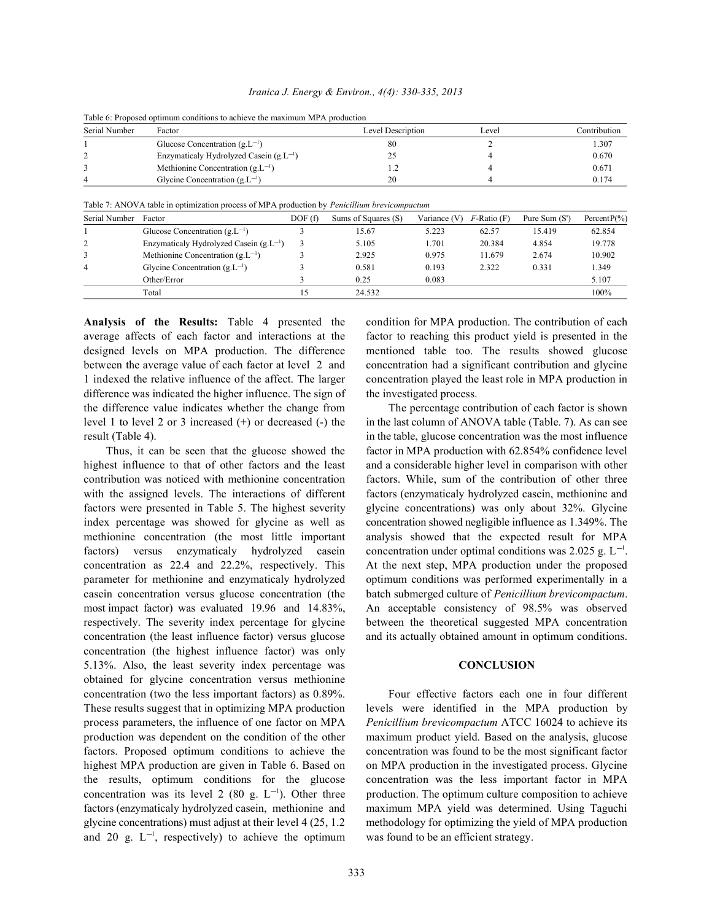| Table 6: Proposed optimum conditions to achieve the maximum MPA production |                                             |                   |       |              |  |  |  |
|----------------------------------------------------------------------------|---------------------------------------------|-------------------|-------|--------------|--|--|--|
| Serial Number                                                              | Factor                                      | Level Description | Level | Contribution |  |  |  |
|                                                                            | Glucose Concentration $(g.L^{-1})$          | 80                |       | 1.307        |  |  |  |
|                                                                            | Enzymaticaly Hydrolyzed Casein $(g.L^{-1})$ |                   |       | 0.670        |  |  |  |
|                                                                            | Methionine Concentration $(g.L^{-1})$       |                   |       | 0.671        |  |  |  |
| $\overline{4}$                                                             | Glycine Concentration $(g.L^{-1})$          | 20                |       | 0.174        |  |  |  |

*Iranica J. Energy & Environ., 4(4): 330-335, 2013*

Table 7: ANOVA table in optimization process of MPA production by *Penicillium brevicompactum*

| Serial Number  | Factor                                  | DOF (f) | Sums of Squares (S) | Variance (V) | $F$ -Ratio (F) | Pure Sum $(S')$ | Percent $P(\% )$ |
|----------------|-----------------------------------------|---------|---------------------|--------------|----------------|-----------------|------------------|
|                | Glucose Concentration $(g.L^{-1})$      |         | 15.67               | 5.223        | 62.57          | 15.419          | 62.854           |
|                | Enzymaticaly Hydrolyzed Casein $(gL-1)$ |         | 5.105               | 1.701        | 20.384         | 4.854           | 19.778           |
|                | Methionine Concentration $(gL-1)$       |         | 2.925               | 0.975        | 11.679         | 2.674           | 10.902           |
| $\overline{4}$ | Glycine Concentration $(g.L^{-1})$      |         | 0.581               | 0.193        | 2.322          | 0.331           | 1.349            |
|                | Other/Error                             |         | 0.25                | 0.083        |                |                 | 5.107            |
|                | Total                                   | 15      | 24.532              |              |                |                 | 100%             |

**Analysis of the Results:** Table 4 presented the condition for MPA production. The contribution of each average affects of each factor and interactions at the factor to reaching this product yield is presented in the designed levels on MPA production. The difference mentioned table too. The results showed glucose between the average value of each factor at level 2 and concentration had a significant contribution and glycine 1 indexed the relative influence of the affect. The larger concentration played the least role in MPA production in difference was indicated the higher influence. The sign of the investigated process. the difference value indicates whether the change from The percentage contribution of each factor is shown level 1 to level 2 or 3 increased (+) or decreased (-) the in the last column of ANOVA table (Table. 7). As can see result (Table 4). in the table, glucose concentration was the most influence

highest influence to that of other factors and the least and a considerable higher level in comparison with other contribution was noticed with methionine concentration factors. While, sum of the contribution of other three with the assigned levels. The interactions of different factors (enzymaticaly hydrolyzed casein, methionine and factors were presented in Table 5. The highest severity glycine concentrations) was only about 32%. Glycine index percentage was showed for glycine as well as concentration showed negligible influence as 1.349%. The methionine concentration (the most little important analysis showed that the expected result for MPA factors) versus enzymaticaly hydrolyzed casein concentration under optimal conditions was 2.025 g.  $L^{-1}$ . concentration as 22.4 and 22.2%, respectively. This At the next step, MPA production under the proposed parameter for methionine and enzymaticaly hydrolyzed optimum conditions was performed experimentally in a casein concentration versus glucose concentration (the batch submerged culture of *Penicillium brevicompactum*. most impact factor) was evaluated 19.96 and 14.83%, An acceptable consistency of 98.5% was observed respectively. The severity index percentage for glycine between the theoretical suggested MPA concentration concentration (the least influence factor) versus glucose and its actually obtained amount in optimum conditions. concentration (the highest influence factor) was only 5.13%. Also, the least severity index percentage was **CONCLUSION** obtained for glycine concentration versus methionine concentration (two the less important factors) as 0.89%. Four effective factors each one in four different These results suggest that in optimizing MPA production levels were identified in the MPA production by process parameters, the influence of one factor on MPA *Penicillium brevicompactum* ATCC 16024 to achieve its production was dependent on the condition of the other maximum product yield. Based on the analysis, glucose factors. Proposed optimum conditions to achieve the concentration was found to be the most significant factor highest MPA production are given in Table 6. Based on on MPA production in the investigated process. Glycine the results, optimum conditions for the glucose concentration was the less important factor in MPA concentration was its level 2 (80 g.  $L^{-1}$ ). Other three production. The optimum culture composition to achieve factors (enzymaticaly hydrolyzed casein, methionine and maximum MPA yield was determined. Using Taguchi glycine concentrations) must adjust at their level 4 (25, 1.2 methodology for optimizing the yield of MPA production and 20 g.  $L^{-1}$ , respectively) to achieve the optimum was found to be an efficient strategy.

Thus, it can be seen that the glucose showed the factor in MPA production with 62.854% confidence level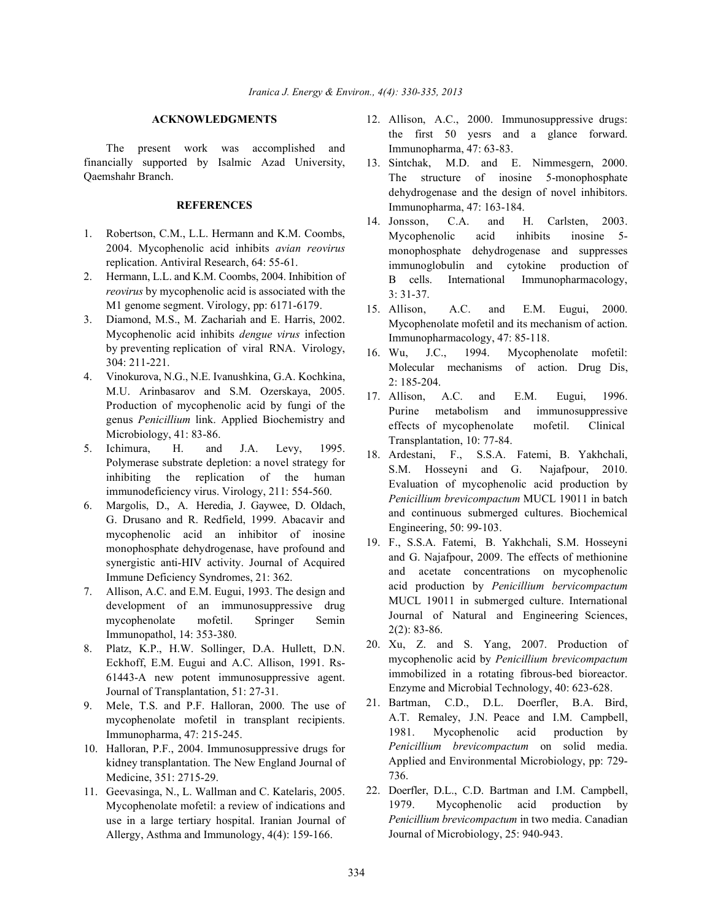The present work was accomplished and financially supported by Isalmic Azad University, Qaemshahr Branch.

### **REFERENCES**

- 1. Robertson, C.M., L.L. Hermann and K.M. Coombs, 2004. Mycophenolic acid inhibits *avian reovirus* replication. Antiviral Research, 64: 55-61.
- 2. Hermann, L.L. and K.M. Coombs, 2004. Inhibition of *reovirus* by mycophenolic acid is associated with the M1 genome segment. Virology, pp: 6171-6179.
- 3. Diamond, M.S., M. Zachariah and E. Harris, 2002. Mycophenolic acid inhibits *dengue virus* infection by preventing replication of viral RNA. Virology, 304: 211-221.
- 4. Vinokurova, N.G., N.E. Ivanushkina, G.A. Kochkina, M.U. Arinbasarov and S.M. Ozerskaya, 2005. Production of mycophenolic acid by fungi of the genus *Penicillium* link. Applied Biochemistry and Microbiology, 41: 83-86.
- 5. Ichimura, H. and J.A. Levy, 1995. Polymerase substrate depletion: a novel strategy for inhibiting the replication of the human immunodeficiency virus. Virology, 211: 554-560.
- 6. Margolis, D., A. Heredia, J. Gaywee, D. Oldach, G. Drusano and R. Redfield, 1999. Abacavir and mycophenolic acid an inhibitor of inosine monophosphate dehydrogenase, have profound and synergistic anti-HIV activity. Journal of Acquired Immune Deficiency Syndromes, 21: 362.
- 7. Allison, A.C. and E.M. Eugui, 1993. The design and development of an immunosuppressive drug mycophenolate mofetil. Springer Semin Immunopathol, 14: 353-380.
- 8. Platz, K.P., H.W. Sollinger, D.A. Hullett, D.N. Eckhoff, E.M. Eugui and A.C. Allison, 1991. Rs-61443-A new potent immunosuppressive agent. Journal of Transplantation, 51: 27-31.
- 9. Mele, T.S. and P.F. Halloran, 2000. The use of mycophenolate mofetil in transplant recipients. Immunopharma, 47: 215-245.
- 10. Halloran, P.F., 2004. Immunosuppressive drugs for kidney transplantation. The New England Journal of Medicine, 351: 2715-29.
- 11. Geevasinga, N., L. Wallman and C. Katelaris, 2005. Mycophenolate mofetil: a review of indications and use in a large tertiary hospital. Iranian Journal of Allergy, Asthma and Immunology, 4(4): 159-166.
- **ACKNOWLEDGMENTS** 12. Allison, A.C., 2000. Immunosuppressive drugs: the first 50 yesrs and a glance forward. Immunopharma, 47: 63-83.
	- 13. Sintchak, M.D. and E. Nimmesgern, 2000. The structure of inosine 5-monophosphate dehydrogenase and the design of novel inhibitors. Immunopharma, 47: 163-184.
	- 14. Jonsson, C.A. and H. Carlsten, 2003. Mycophenolic acid inhibits inosine 5 monophosphate dehydrogenase and suppresses immunoglobulin and cytokine production of B cells. International Immunopharmacology, 3: 31-37.
	- 15. Allison, A.C. and E.M. Eugui, 2000. Mycophenolate mofetil and its mechanism of action. Immunopharmacology, 47: 85-118.
	- 16. Wu, J.C., 1994. Mycophenolate mofetil: Molecular mechanisms of action. Drug Dis, 2: 185-204.
	- 17. Allison, A.C. and E.M. Eugui, 1996. Purine metabolism and immunosuppressive effects of mycophenolate mofetil. Clinical Transplantation, 10: 77-84.
	- 18. Ardestani, F., S.S.A. Fatemi, B. Yakhchali, S.M. Hosseyni and G. Najafpour, 2010. Evaluation of mycophenolic acid production by *Penicillium brevicompactum* MUCL 19011 in batch and continuous submerged cultures. Biochemical Engineering, 50: 99-103.
	- 19. F., S.S.A. Fatemi, B. Yakhchali, S.M. Hosseyni and G. Najafpour, 2009. The effects of methionine and acetate concentrations on mycophenolic acid production by *Penicillium bervicompactum* MUCL 19011 in submerged culture. International Journal of Natural and Engineering Sciences, 2(2): 83-86.
	- 20. Xu, Z. and S. Yang, 2007. Production of mycophenolic acid by *Penicillium brevicompactum* immobilized in a rotating fibrous-bed bioreactor. Enzyme and Microbial Technology, 40: 623-628.
	- 21. Bartman, C.D., D.L. Doerfler, B.A. Bird, A.T. Remaley, J.N. Peace and I.M. Campbell, 1981. Mycophenolic acid production by *Penicillium brevicompactum* on solid media. Applied and Environmental Microbiology, pp: 729- 736.
	- 22. Doerfler, D.L., C.D. Bartman and I.M. Campbell, 1979. Mycophenolic acid production by *Penicillium brevicompactum* in two media. Canadian Journal of Microbiology, 25: 940-943.